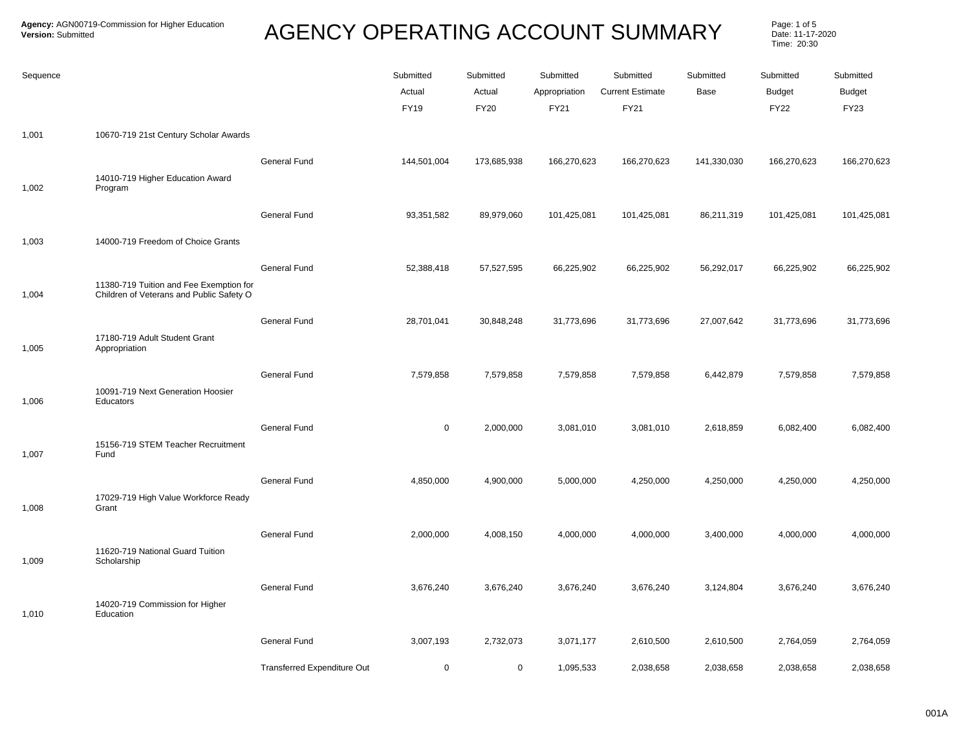Page: 1 of 5<br>Date: 11-17-2020 Time: 20:30

| Sequence |                                                                                     |                             | Submitted<br>Actual<br><b>FY19</b> | Submitted<br>Actual<br><b>FY20</b> | Submitted<br>Appropriation<br><b>FY21</b> | Submitted<br><b>Current Estimate</b><br><b>FY21</b> | Submitted<br>Base | Submitted<br><b>Budget</b><br><b>FY22</b> | Submitted<br><b>Budget</b><br><b>FY23</b> |
|----------|-------------------------------------------------------------------------------------|-----------------------------|------------------------------------|------------------------------------|-------------------------------------------|-----------------------------------------------------|-------------------|-------------------------------------------|-------------------------------------------|
| 1,001    | 10670-719 21st Century Scholar Awards                                               |                             |                                    |                                    |                                           |                                                     |                   |                                           |                                           |
| 1,002    | 14010-719 Higher Education Award<br>Program                                         | General Fund                | 144,501,004                        | 173,685,938                        | 166,270,623                               | 166,270,623                                         | 141,330,030       | 166,270,623                               | 166,270,623                               |
|          |                                                                                     | General Fund                | 93,351,582                         | 89,979,060                         | 101,425,081                               | 101,425,081                                         | 86,211,319        | 101,425,081                               | 101,425,081                               |
| 1,003    | 14000-719 Freedom of Choice Grants                                                  |                             |                                    |                                    |                                           |                                                     |                   |                                           |                                           |
|          | 11380-719 Tuition and Fee Exemption for<br>Children of Veterans and Public Safety O | General Fund                | 52,388,418                         | 57,527,595                         | 66,225,902                                | 66,225,902                                          | 56,292,017        | 66,225,902                                | 66,225,902                                |
| 1,004    |                                                                                     | General Fund                | 28,701,041                         | 30,848,248                         | 31,773,696                                |                                                     | 27,007,642        | 31,773,696                                | 31,773,696                                |
| 1,005    | 17180-719 Adult Student Grant<br>Appropriation                                      |                             |                                    |                                    |                                           | 31,773,696                                          |                   |                                           |                                           |
|          | 10091-719 Next Generation Hoosier                                                   | General Fund                | 7,579,858                          | 7,579,858                          | 7,579,858                                 | 7,579,858                                           | 6,442,879         | 7,579,858                                 | 7,579,858                                 |
| 1,006    | Educators                                                                           |                             |                                    |                                    |                                           |                                                     |                   |                                           |                                           |
| 1,007    | 15156-719 STEM Teacher Recruitment<br>Fund                                          | <b>General Fund</b>         | $\mathsf 0$                        | 2,000,000                          | 3,081,010                                 | 3,081,010                                           | 2,618,859         | 6,082,400                                 | 6,082,400                                 |
|          |                                                                                     | General Fund                | 4,850,000                          | 4,900,000                          | 5,000,000                                 | 4,250,000                                           | 4,250,000         | 4,250,000                                 | 4,250,000                                 |
| 1,008    | 17029-719 High Value Workforce Ready<br>Grant                                       |                             |                                    |                                    |                                           |                                                     |                   |                                           |                                           |
|          | 11620-719 National Guard Tuition                                                    | General Fund                | 2,000,000                          | 4,008,150                          | 4,000,000                                 | 4,000,000                                           | 3,400,000         | 4,000,000                                 | 4,000,000                                 |
| 1,009    | Scholarship                                                                         | General Fund                |                                    |                                    |                                           |                                                     |                   |                                           |                                           |
| 1,010    | 14020-719 Commission for Higher<br>Education                                        |                             | 3,676,240                          | 3,676,240                          | 3,676,240                                 | 3,676,240                                           | 3,124,804         | 3,676,240                                 | 3,676,240                                 |
|          |                                                                                     | General Fund                | 3,007,193                          | 2,732,073                          | 3,071,177                                 | 2,610,500                                           | 2,610,500         | 2,764,059                                 | 2,764,059                                 |
|          |                                                                                     | Transferred Expenditure Out | $\mathbf 0$                        | $\mathbf 0$                        | 1,095,533                                 | 2,038,658                                           | 2,038,658         | 2,038,658                                 | 2,038,658                                 |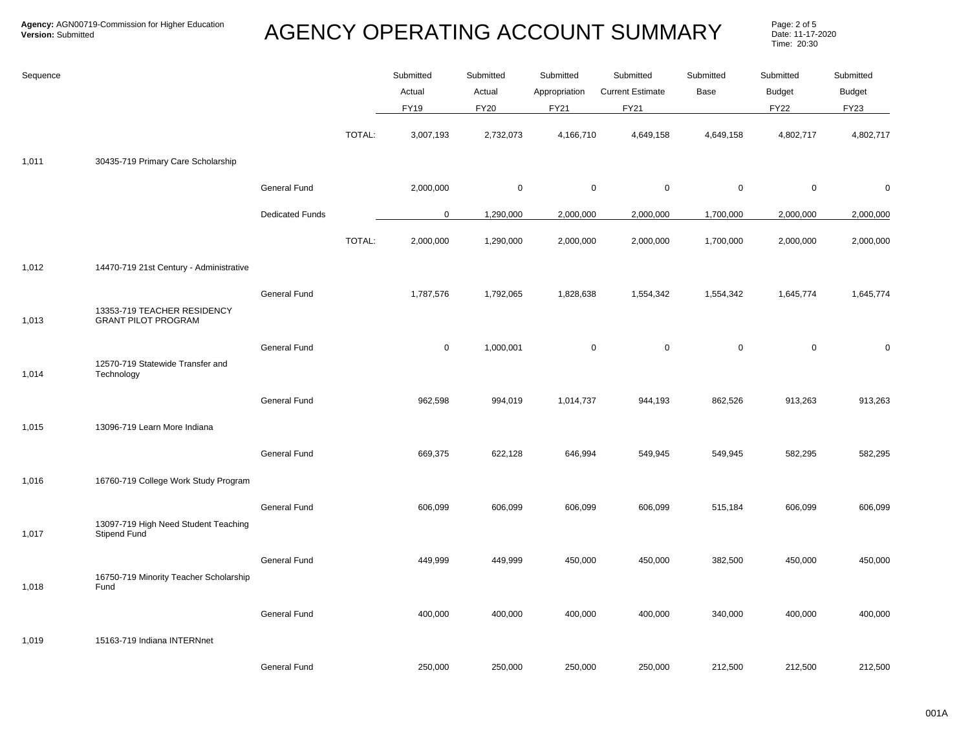Page: 2 of 5<br>Date: 11-17-2020 Time: 20:30

| Sequence |                                                             |                        |        | Submitted   | Submitted   | Submitted     | Submitted               | Submitted   | Submitted     | Submitted     |
|----------|-------------------------------------------------------------|------------------------|--------|-------------|-------------|---------------|-------------------------|-------------|---------------|---------------|
|          |                                                             |                        |        | Actual      | Actual      | Appropriation | <b>Current Estimate</b> | Base        | <b>Budget</b> | <b>Budget</b> |
|          |                                                             |                        |        | <b>FY19</b> | <b>FY20</b> | FY21          | FY21                    |             | <b>FY22</b>   | FY23          |
|          |                                                             |                        | TOTAL: | 3,007,193   | 2,732,073   | 4,166,710     | 4,649,158               | 4,649,158   | 4,802,717     | 4,802,717     |
| 1,011    | 30435-719 Primary Care Scholarship                          |                        |        |             |             |               |                         |             |               |               |
|          |                                                             | General Fund           |        | 2,000,000   | 0           | 0             | 0                       | $\mathbf 0$ | $\mathbf 0$   | $\mathbf 0$   |
|          |                                                             | <b>Dedicated Funds</b> |        | $\mathbf 0$ | 1,290,000   | 2,000,000     | 2,000,000               | 1,700,000   | 2,000,000     | 2,000,000     |
|          |                                                             |                        | TOTAL: | 2,000,000   | 1,290,000   | 2,000,000     | 2,000,000               | 1,700,000   | 2,000,000     | 2,000,000     |
| 1,012    | 14470-719 21st Century - Administrative                     |                        |        |             |             |               |                         |             |               |               |
|          |                                                             | <b>General Fund</b>    |        | 1,787,576   | 1,792,065   | 1,828,638     | 1,554,342               | 1,554,342   | 1,645,774     | 1,645,774     |
| 1,013    | 13353-719 TEACHER RESIDENCY<br><b>GRANT PILOT PROGRAM</b>   |                        |        |             |             |               |                         |             |               |               |
|          |                                                             | General Fund           |        | $\mathbf 0$ | 1,000,001   | $\pmb{0}$     | $\mathbf 0$             | $\mathsf 0$ | $\mathbf 0$   | $\mathbf 0$   |
| 1,014    | 12570-719 Statewide Transfer and<br>Technology              |                        |        |             |             |               |                         |             |               |               |
|          |                                                             | General Fund           |        | 962,598     | 994,019     | 1,014,737     | 944,193                 | 862,526     | 913,263       | 913,263       |
| 1,015    | 13096-719 Learn More Indiana                                |                        |        |             |             |               |                         |             |               |               |
|          |                                                             | General Fund           |        | 669,375     | 622,128     | 646,994       | 549,945                 | 549,945     | 582,295       | 582,295       |
| 1,016    | 16760-719 College Work Study Program                        |                        |        |             |             |               |                         |             |               |               |
|          |                                                             | <b>General Fund</b>    |        | 606,099     | 606,099     | 606,099       | 606,099                 | 515,184     | 606,099       | 606,099       |
| 1,017    | 13097-719 High Need Student Teaching<br><b>Stipend Fund</b> |                        |        |             |             |               |                         |             |               |               |
|          |                                                             | General Fund           |        | 449,999     | 449,999     | 450,000       | 450,000                 | 382,500     | 450,000       | 450,000       |
| 1,018    | 16750-719 Minority Teacher Scholarship<br>Fund              |                        |        |             |             |               |                         |             |               |               |
|          |                                                             | General Fund           |        | 400,000     | 400,000     | 400,000       | 400,000                 | 340,000     | 400,000       | 400,000       |
| 1,019    | 15163-719 Indiana INTERNnet                                 |                        |        |             |             |               |                         |             |               |               |
|          |                                                             | General Fund           |        | 250,000     | 250,000     | 250,000       | 250,000                 | 212,500     | 212,500       | 212,500       |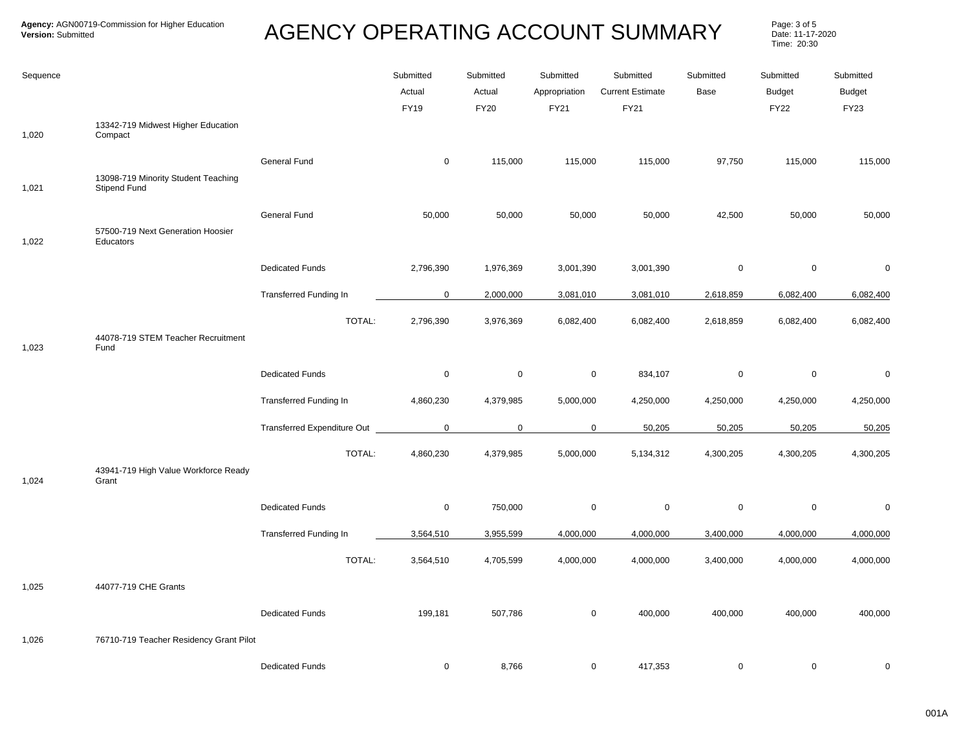Page: 3 of 5<br>Date: 11-17-2020 Time: 20:30

| Sequence |                                                     |                                    | Submitted             | Submitted             | Submitted             | Submitted                              | Submitted   | Submitted                    | Submitted             |
|----------|-----------------------------------------------------|------------------------------------|-----------------------|-----------------------|-----------------------|----------------------------------------|-------------|------------------------------|-----------------------|
|          |                                                     |                                    | Actual<br><b>FY19</b> | Actual<br><b>FY20</b> | Appropriation<br>FY21 | <b>Current Estimate</b><br><b>FY21</b> | Base        | <b>Budget</b><br><b>FY22</b> | <b>Budget</b><br>FY23 |
| 1,020    | 13342-719 Midwest Higher Education<br>Compact       |                                    |                       |                       |                       |                                        |             |                              |                       |
|          |                                                     | <b>General Fund</b>                | $\mathbf 0$           | 115,000               | 115,000               | 115,000                                | 97,750      | 115,000                      | 115,000               |
| 1,021    | 13098-719 Minority Student Teaching<br>Stipend Fund |                                    |                       |                       |                       |                                        |             |                              |                       |
|          |                                                     | General Fund                       | 50,000                | 50,000                | 50,000                | 50,000                                 | 42,500      | 50,000                       | 50,000                |
| 1,022    | 57500-719 Next Generation Hoosier<br>Educators      |                                    |                       |                       |                       |                                        |             |                              |                       |
|          |                                                     | <b>Dedicated Funds</b>             | 2,796,390             | 1,976,369             | 3,001,390             | 3,001,390                              | $\mathbf 0$ | $\mathsf 0$                  | $\mathbf 0$           |
|          |                                                     | <b>Transferred Funding In</b>      | $\mathbf 0$           | 2,000,000             | 3,081,010             | 3,081,010                              | 2,618,859   | 6,082,400                    | 6,082,400             |
|          |                                                     | TOTAL:                             | 2,796,390             | 3,976,369             | 6,082,400             | 6,082,400                              | 2,618,859   | 6,082,400                    | 6,082,400             |
| 1,023    | 44078-719 STEM Teacher Recruitment<br>Fund          |                                    |                       |                       |                       |                                        |             |                              |                       |
|          |                                                     | <b>Dedicated Funds</b>             | $\mathbf 0$           | $\mathbf 0$           | $\mathbf 0$           | 834,107                                | $\mathbf 0$ | 0                            | $\pmb{0}$             |
|          |                                                     | Transferred Funding In             | 4,860,230             | 4,379,985             | 5,000,000             | 4,250,000                              | 4,250,000   | 4,250,000                    | 4,250,000             |
|          |                                                     | <b>Transferred Expenditure Out</b> | $\overline{0}$        | $\mathbf 0$           | $\mathbf 0$           | 50,205                                 | 50,205      | 50,205                       | 50,205                |
|          | 43941-719 High Value Workforce Ready                | TOTAL:                             | 4,860,230             | 4,379,985             | 5,000,000             | 5,134,312                              | 4,300,205   | 4,300,205                    | 4,300,205             |
| 1,024    | Grant                                               |                                    |                       |                       |                       |                                        |             |                              |                       |
|          |                                                     | <b>Dedicated Funds</b>             | $\mathbf 0$           | 750,000               | $\mathbf 0$           | $\pmb{0}$                              | $\mathbf 0$ | $\mathsf 0$                  | $\pmb{0}$             |
|          |                                                     | Transferred Funding In             | 3,564,510             | 3,955,599             | 4,000,000             | 4,000,000                              | 3,400,000   | 4,000,000                    | 4,000,000             |
|          |                                                     | TOTAL:                             | 3,564,510             | 4,705,599             | 4,000,000             | 4,000,000                              | 3,400,000   | 4,000,000                    | 4,000,000             |
| 1,025    | 44077-719 CHE Grants                                |                                    |                       |                       |                       |                                        |             |                              |                       |
|          |                                                     | <b>Dedicated Funds</b>             | 199,181               | 507,786               | 0                     | 400,000                                | 400,000     | 400,000                      | 400,000               |
| 1,026    | 76710-719 Teacher Residency Grant Pilot             |                                    |                       |                       |                       |                                        |             |                              |                       |
|          |                                                     | <b>Dedicated Funds</b>             | $\mathbf 0$           | 8,766                 | $\mathbf 0$           | 417,353                                | $\mathbf 0$ | $\mathbf 0$                  | $\mathbf 0$           |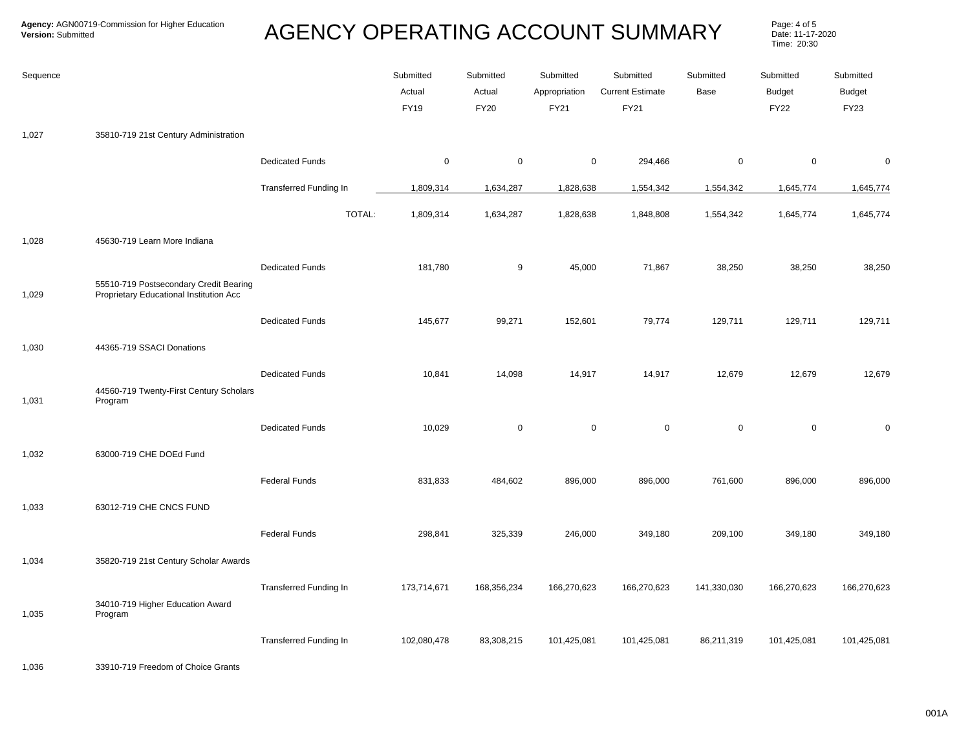Page: 4 of 5<br>Date: 11-17-2020 Time: 20:30

| Sequence |                                                                                   |                               | Submitted<br>Actual<br><b>FY19</b> | Submitted<br>Actual<br><b>FY20</b> | Submitted<br>Appropriation<br>FY21 | Submitted<br><b>Current Estimate</b><br>FY21 | Submitted<br>Base | Submitted<br><b>Budget</b><br><b>FY22</b> | Submitted<br>Budget<br><b>FY23</b> |
|----------|-----------------------------------------------------------------------------------|-------------------------------|------------------------------------|------------------------------------|------------------------------------|----------------------------------------------|-------------------|-------------------------------------------|------------------------------------|
| 1,027    | 35810-719 21st Century Administration                                             |                               |                                    |                                    |                                    |                                              |                   |                                           |                                    |
|          |                                                                                   | <b>Dedicated Funds</b>        | $\mathbf 0$                        | $\mathbf 0$                        | 0                                  | 294,466                                      | $\mathbf 0$       | $\mathbf 0$                               | 0                                  |
|          |                                                                                   | <b>Transferred Funding In</b> | 1,809,314                          | 1,634,287                          | 1,828,638                          | 1,554,342                                    | 1,554,342         | 1,645,774                                 | 1,645,774                          |
|          |                                                                                   | TOTAL:                        | 1,809,314                          | 1,634,287                          | 1,828,638                          | 1,848,808                                    | 1,554,342         | 1,645,774                                 | 1,645,774                          |
| 1,028    | 45630-719 Learn More Indiana                                                      |                               |                                    |                                    |                                    |                                              |                   |                                           |                                    |
| 1,029    | 55510-719 Postsecondary Credit Bearing<br>Proprietary Educational Institution Acc | <b>Dedicated Funds</b>        | 181,780                            | 9                                  | 45,000                             | 71,867                                       | 38,250            | 38,250                                    | 38,250                             |
|          |                                                                                   | <b>Dedicated Funds</b>        | 145,677                            | 99,271                             | 152,601                            | 79,774                                       | 129,711           | 129,711                                   | 129,711                            |
| 1,030    | 44365-719 SSACI Donations                                                         |                               |                                    |                                    |                                    |                                              |                   |                                           |                                    |
|          |                                                                                   | <b>Dedicated Funds</b>        | 10,841                             | 14,098                             | 14,917                             | 14,917                                       | 12,679            | 12,679                                    | 12,679                             |
| 1,031    | 44560-719 Twenty-First Century Scholars<br>Program                                |                               |                                    |                                    |                                    |                                              |                   |                                           |                                    |
|          |                                                                                   | <b>Dedicated Funds</b>        | 10,029                             | $\mathbf 0$                        | 0                                  | $\pmb{0}$                                    | $\mathsf 0$       | $\mathbf 0$                               | $\Omega$                           |
| 1,032    | 63000-719 CHE DOEd Fund                                                           |                               |                                    |                                    |                                    |                                              |                   |                                           |                                    |
|          |                                                                                   | <b>Federal Funds</b>          | 831,833                            | 484,602                            | 896,000                            | 896,000                                      | 761,600           | 896,000                                   | 896,000                            |
| 1,033    | 63012-719 CHE CNCS FUND                                                           |                               |                                    |                                    |                                    |                                              |                   |                                           |                                    |
|          |                                                                                   | <b>Federal Funds</b>          | 298,841                            | 325,339                            | 246,000                            | 349,180                                      | 209,100           | 349,180                                   | 349,180                            |
| 1,034    | 35820-719 21st Century Scholar Awards                                             |                               |                                    |                                    |                                    |                                              |                   |                                           |                                    |
| 1,035    | 34010-719 Higher Education Award<br>Program                                       | Transferred Funding In        | 173,714,671                        | 168,356,234                        | 166,270,623                        | 166,270,623                                  | 141,330,030       | 166,270,623                               | 166,270,623                        |
|          |                                                                                   | <b>Transferred Funding In</b> | 102,080,478                        | 83,308,215                         | 101,425,081                        | 101,425,081                                  | 86,211,319        | 101,425,081                               | 101,425,081                        |

1,036 33910-719 Freedom of Choice Grants